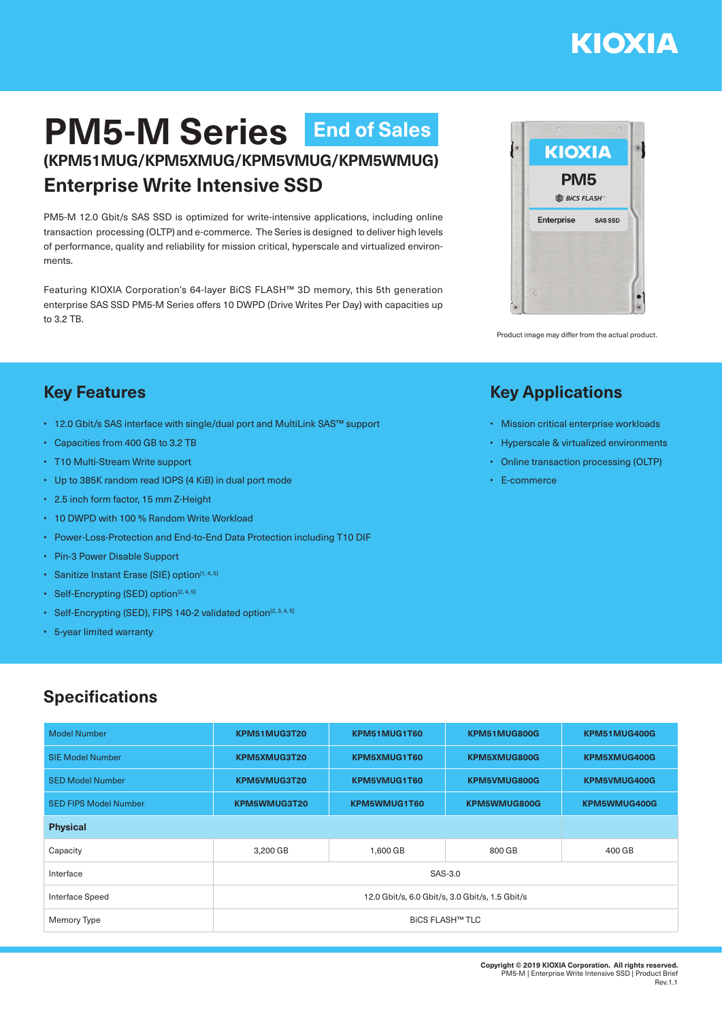# **KIOXIA**

# **PM5-M Series End of Sales(KPM51MUG/KPM5XMUG/KPM5VMUG/KPM5WMUG)**

## **Enterprise Write Intensive SSD**

PM5-M 12.0 Gbit/s SAS SSD is optimized for write-intensive applications, including online transaction processing (OLTP) and e-commerce. The Series is designed to deliver high levels of performance, quality and reliability for mission critical, hyperscale and virtualized environments.

Featuring KIOXIA Corporation's 64-layer BiCS FLASH™ 3D memory, this 5th generation enterprise SAS SSD PM5-M Series offers 10 DWPD (Drive Writes Per Day) with capacities up to 3.2 TB.



Product image may differ from the actual product.

#### **Key Features**

- 12.0 Gbit/s SAS interface with single/dual port and MultiLink SAS™ support
- Capacities from 400 GB to 3.2 TB
- T10 Multi-Stream Write support
- Up to 385K random read IOPS (4 KiB) in dual port mode
- 2.5 inch form factor, 15 mm Z-Height
- 10 DWPD with 100 % Random Write Workload
- Power-Loss-Protection and End-to-End Data Protection including T10 DIF
- Pin-3 Power Disable Support
- Sanitize Instant Erase (SIE) option<sup>[1,4,5]</sup>
- Self-Encrypting (SED) option $[2, 4, 5]$
- Self-Encrypting (SED), FIPS 140-2 validated option<sup>[2, 3, 4, 5]</sup>
- 5-year limited warranty

### **Specifications**

| <b>Model Number</b>          | KPM51MUG3T20                                    | KPM51MUG1T60 | KPM51MUG800G | KPM51MUG400G |  |  |  |
|------------------------------|-------------------------------------------------|--------------|--------------|--------------|--|--|--|
| <b>SIE Model Number</b>      | KPM5XMUG3T20                                    | KPM5XMUG1T60 | KPM5XMUG800G | KPM5XMUG400G |  |  |  |
| <b>SED Model Number</b>      | KPM5VMUG3T20                                    | KPM5VMUG1T60 | KPM5VMUG800G | KPM5VMUG400G |  |  |  |
| <b>SED FIPS Model Number</b> | KPM5WMUG3T20                                    | KPM5WMUG1T60 | KPM5WMUG800G | KPM5WMUG400G |  |  |  |
| <b>Physical</b>              |                                                 |              |              |              |  |  |  |
| Capacity                     | 3,200 GB                                        | 1,600 GB     | 800 GB       | 400 GB       |  |  |  |
| Interface                    | SAS-3.0                                         |              |              |              |  |  |  |
| Interface Speed              | 12.0 Gbit/s, 6.0 Gbit/s, 3.0 Gbit/s, 1.5 Gbit/s |              |              |              |  |  |  |
| Memory Type                  | <b>BICS FLASH™ TLC</b>                          |              |              |              |  |  |  |

### **Key Applications**

- Mission critical enterprise workloads
- Hyperscale & virtualized environments
- Online transaction processing (OLTP)
- E-commerce